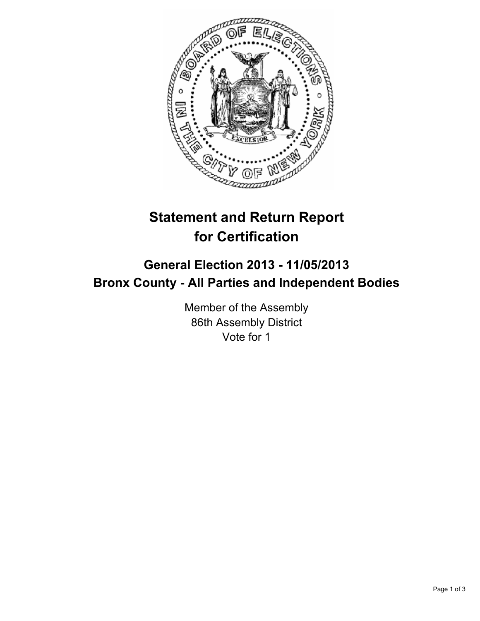

## **Statement and Return Report for Certification**

## **General Election 2013 - 11/05/2013 Bronx County - All Parties and Independent Bodies**

Member of the Assembly 86th Assembly District Vote for 1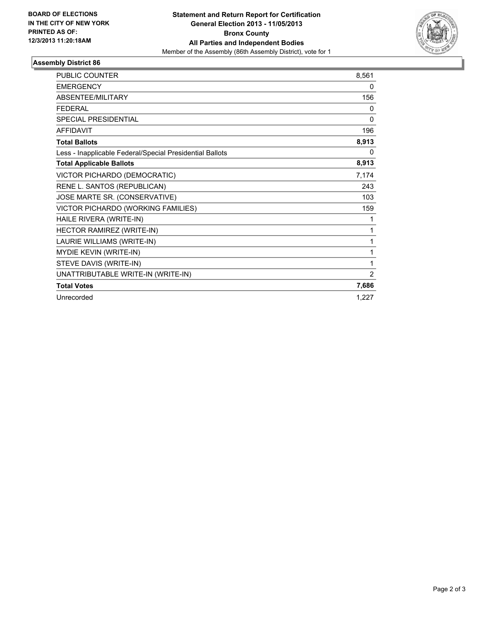

## **Assembly District 86**

| <b>PUBLIC COUNTER</b>                                    | 8,561 |
|----------------------------------------------------------|-------|
| <b>EMERGENCY</b>                                         | 0     |
| <b>ABSENTEE/MILITARY</b>                                 | 156   |
| <b>FEDERAL</b>                                           | 0     |
| <b>SPECIAL PRESIDENTIAL</b>                              | 0     |
| <b>AFFIDAVIT</b>                                         | 196   |
| <b>Total Ballots</b>                                     | 8,913 |
| Less - Inapplicable Federal/Special Presidential Ballots | 0     |
| <b>Total Applicable Ballots</b>                          | 8,913 |
| VICTOR PICHARDO (DEMOCRATIC)                             | 7,174 |
| RENE L. SANTOS (REPUBLICAN)                              | 243   |
| JOSE MARTE SR. (CONSERVATIVE)                            | 103   |
| VICTOR PICHARDO (WORKING FAMILIES)                       | 159   |
| HAILE RIVERA (WRITE-IN)                                  | 1     |
| HECTOR RAMIREZ (WRITE-IN)                                | 1     |
| LAURIE WILLIAMS (WRITE-IN)                               | 1     |
| MYDIE KEVIN (WRITE-IN)                                   | 1     |
| STEVE DAVIS (WRITE-IN)                                   | 1     |
| UNATTRIBUTABLE WRITE-IN (WRITE-IN)                       | 2     |
| <b>Total Votes</b>                                       | 7,686 |
| Unrecorded                                               | 1,227 |